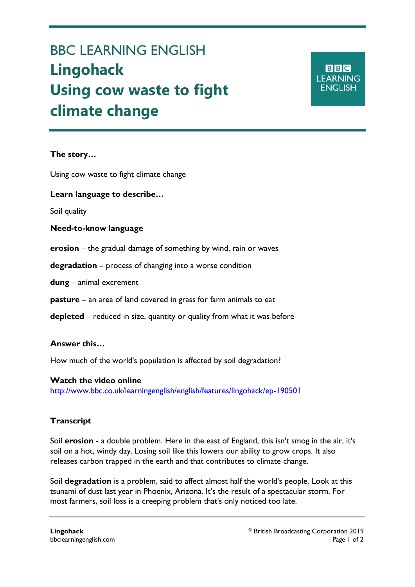# BBC LEARNING ENGLISH **Lingohack Using cow waste to fight climate change**

**BBC LEARNING ENGLISH** 

## **The story…**

Ξ

Using cow waste to fight climate change

### **Learn language to describe…**

Soil quality

#### **Need-to-know language**

**erosion** – the gradual damage of something by wind, rain or waves

**degradation** – process of changing into a worse condition

**dung** – animal excrement

**pasture** – an area of land covered in grass for farm animals to eat

**depleted** – reduced in size, quantity or quality from what it was before

#### **Answer this…**

How much of the world's population is affected by soil degradation?

**Watch the video online** <http://www.bbc.co.uk/learningenglish/english/features/lingohack/ep-190501>

## **Transcript**

Soil **erosion** - a double problem. Here in the east of England, this isn't smog in the air, it's soil on a hot, windy day. Losing soil like this lowers our ability to grow crops. It also releases carbon trapped in the earth and that contributes to climate change.

Soil **degradation** is a problem, said to affect almost half the world's people. Look at this tsunami of dust last year in Phoenix, Arizona. It's the result of a spectacular storm. For most farmers, soil loss is a creeping problem that's only noticed too late.